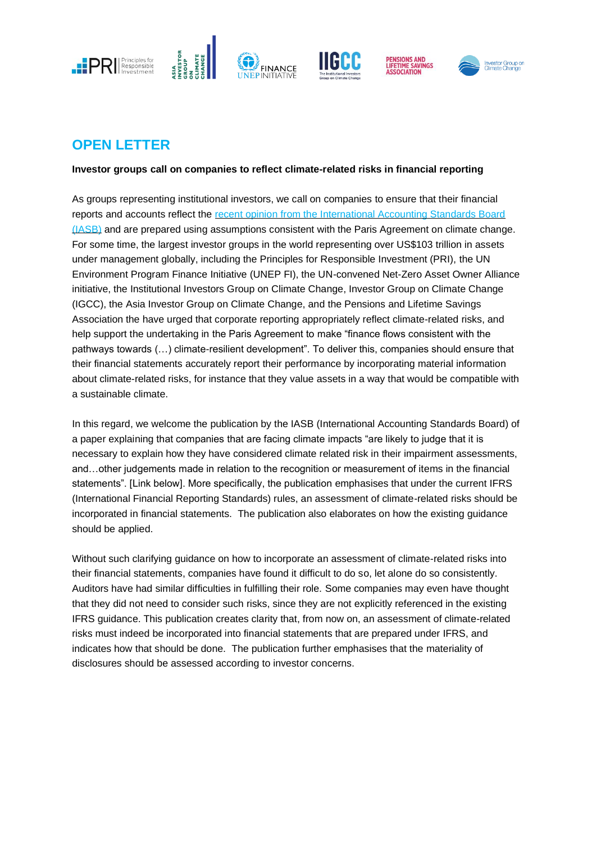







## **OPEN LETTER**

**Investor groups call on companies to reflect climate-related risks in financial reporting**

As groups representing institutional investors, we call on companies to ensure that their financial reports and accounts reflect the [recent opinion from the International Accounting Standards Board](https://cdn.ifrs.org/-/media/feature/news/2019/november/in-brief-climate-change-nick-anderson.pdf?la=en)  [\(IASB\)](https://cdn.ifrs.org/-/media/feature/news/2019/november/in-brief-climate-change-nick-anderson.pdf?la=en) and are prepared using assumptions consistent with the Paris Agreement on climate change. For some time, the largest investor groups in the world representing over US\$103 trillion in assets under management globally, including the Principles for Responsible Investment (PRI), the UN Environment Program Finance Initiative (UNEP FI), the UN-convened Net-Zero Asset Owner Alliance initiative, the Institutional Investors Group on Climate Change, Investor Group on Climate Change (IGCC), the Asia Investor Group on Climate Change, and the Pensions and Lifetime Savings Association the have urged that corporate reporting appropriately reflect climate-related risks, and help support the undertaking in the Paris Agreement to make "finance flows consistent with the pathways towards (…) climate-resilient development". To deliver this, companies should ensure that their financial statements accurately report their performance by incorporating material information about climate-related risks, for instance that they value assets in a way that would be compatible with a sustainable climate.

In this regard, we welcome the publication by the IASB (International Accounting Standards Board) of a paper explaining that companies that are facing climate impacts "are likely to judge that it is necessary to explain how they have considered climate related risk in their impairment assessments, and…other judgements made in relation to the recognition or measurement of items in the financial statements". [Link below]. More specifically, the publication emphasises that under the current IFRS (International Financial Reporting Standards) rules, an assessment of climate-related risks should be incorporated in financial statements. The publication also elaborates on how the existing guidance should be applied.

Without such clarifying guidance on how to incorporate an assessment of climate-related risks into their financial statements, companies have found it difficult to do so, let alone do so consistently. Auditors have had similar difficulties in fulfilling their role. Some companies may even have thought that they did not need to consider such risks, since they are not explicitly referenced in the existing IFRS guidance. This publication creates clarity that, from now on, an assessment of climate-related risks must indeed be incorporated into financial statements that are prepared under IFRS, and indicates how that should be done. The publication further emphasises that the materiality of disclosures should be assessed according to investor concerns.